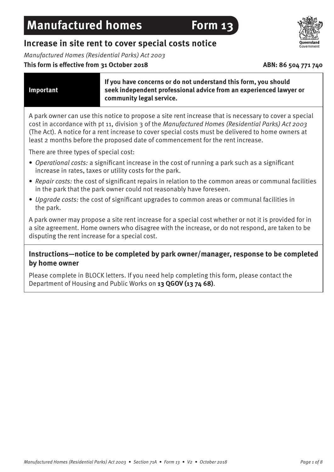## **Increase in site rent to cover special costs notice**

Manufactured Homes (Residential Parks) Act 2003

### This form is effective from 31 October 2018 **ABN: 86 504 771 740**

**Important**

**If you have concerns or do not understand this form, you should seek independent professional advice from an experienced lawyer or community legal service.**

A park owner can use this notice to propose a site rent increase that is necessary to cover a special cost in accordance with pt 11, division 3 of the Manufactured Homes (Residential Parks) Act 2003 (The Act). A notice for a rent increase to cover special costs must be delivered to home owners at least 2 months before the proposed date of commencement for the rent increase.

There are three types of special cost:

- Operational costs: a significant increase in the cost of running a park such as a significant increase in rates, taxes or utility costs for the park.
- Repair costs: the cost of significant repairs in relation to the common areas or communal facilities in the park that the park owner could not reasonably have foreseen.
- Upgrade costs: the cost of significant upgrades to common areas or communal facilities in the park.

A park owner may propose a site rent increase for a special cost whether or not it is provided for in a site agreement. Home owners who disagree with the increase, or do not respond, are taken to be disputing the rent increase for a special cost.

## **Instructions—notice to be completed by park owner/manager, response to be completed by home owner**

Please complete in BLOCK letters. If you need help completing this form, please contact the Department of Housing and Public Works on **13 QGOV (13 74 68)**.

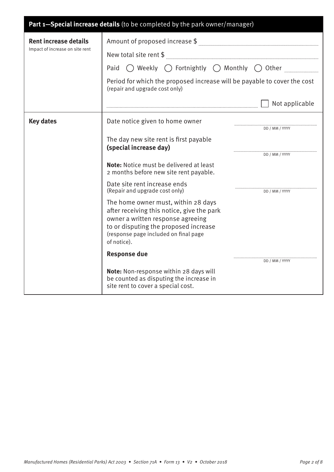| Part 1-Special increase details (to be completed by the park owner/manager) |                                                                                                                                                                 |                |
|-----------------------------------------------------------------------------|-----------------------------------------------------------------------------------------------------------------------------------------------------------------|----------------|
| <b>Rent increase details</b><br>Impact of increase on site rent             |                                                                                                                                                                 |                |
|                                                                             | ${\bf New\ total\ site\ rent\ $}\ \mathit{[\hspace{1.5mm}]}.$                                                                                                   |                |
|                                                                             | $\bigcirc$ Weekly $\bigcirc$ Fortnightly $\bigcirc$ Monthly $\bigcirc$ Other<br>Paid                                                                            |                |
|                                                                             | Period for which the proposed increase will be payable to cover the cost<br>(repair and upgrade cost only)                                                      |                |
|                                                                             |                                                                                                                                                                 | Not applicable |
| <b>Key dates</b>                                                            | Date notice given to home owner                                                                                                                                 | DD / MM / YYYY |
|                                                                             | The day new site rent is first payable<br>(special increase day)                                                                                                |                |
|                                                                             |                                                                                                                                                                 | DD / MM / YYYY |
|                                                                             | <b>Note:</b> Notice must be delivered at least<br>2 months before new site rent payable.                                                                        |                |
|                                                                             | Date site rent increase ends<br>(Repair and upgrade cost only)                                                                                                  | DD / MM / YYYY |
|                                                                             | The home owner must, within 28 days<br>after receiving this notice, give the park<br>owner a written response agreeing<br>to or disputing the proposed increase |                |
|                                                                             | (response page included on final page<br>of notice).                                                                                                            |                |
|                                                                             | <b>Response due</b>                                                                                                                                             | DD / MM / YYYY |
|                                                                             | Note: Non-response within 28 days will<br>be counted as disputing the increase in<br>site rent to cover a special cost.                                         |                |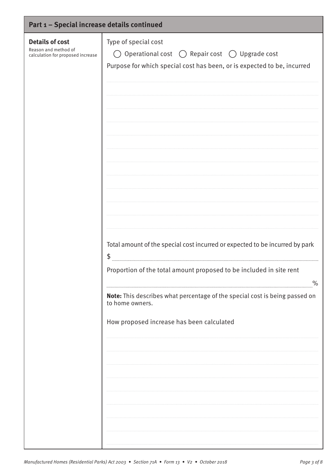| Part 1 - Special increase details continued                                         |                                                                                                                                                                             |  |
|-------------------------------------------------------------------------------------|-----------------------------------------------------------------------------------------------------------------------------------------------------------------------------|--|
| <b>Details of cost</b><br>Reason and method of<br>calculation for proposed increase | Type of special cost<br>Operational cost $\bigcirc$ Repair cost $\bigcirc$ Upgrade cost<br>$($ )<br>Purpose for which special cost has been, or is expected to be, incurred |  |
|                                                                                     |                                                                                                                                                                             |  |
|                                                                                     |                                                                                                                                                                             |  |
|                                                                                     | Total amount of the special cost incurred or expected to be incurred by park<br>\$<br>Proportion of the total amount proposed to be included in site rent                   |  |
|                                                                                     | $\%$<br>Note: This describes what percentage of the special cost is being passed on<br>to home owners.<br>How proposed increase has been calculated                         |  |
|                                                                                     |                                                                                                                                                                             |  |
|                                                                                     |                                                                                                                                                                             |  |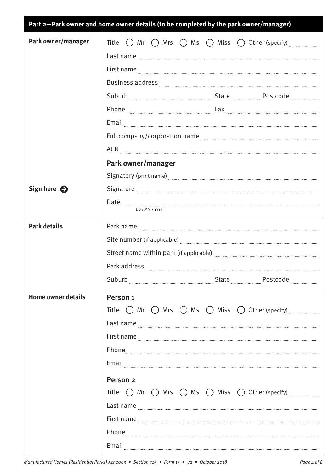|                           | Part 2-Park owner and home owner details (to be completed by the park owner/manager)                                                                                                                                                                                                                                                                                                                                                                                                                                                                                                                                                                                                                                                                                                                                                                                               |
|---------------------------|------------------------------------------------------------------------------------------------------------------------------------------------------------------------------------------------------------------------------------------------------------------------------------------------------------------------------------------------------------------------------------------------------------------------------------------------------------------------------------------------------------------------------------------------------------------------------------------------------------------------------------------------------------------------------------------------------------------------------------------------------------------------------------------------------------------------------------------------------------------------------------|
| Park owner/manager        |                                                                                                                                                                                                                                                                                                                                                                                                                                                                                                                                                                                                                                                                                                                                                                                                                                                                                    |
|                           | Last name <b>with a contract of the contract of the contract of the contract of the contract of the contract of the contract of the contract of the contract of the contract of the contract of the contract of the contract of </b>                                                                                                                                                                                                                                                                                                                                                                                                                                                                                                                                                                                                                                               |
|                           | First name <b>with a material contract of the contract of the contract of the contract of the contract of the contract of the contract of the contract of the contract of the contract of the contract of the contract of the co</b>                                                                                                                                                                                                                                                                                                                                                                                                                                                                                                                                                                                                                                               |
|                           | Business address <b>with a community of the contract of the contract of the contract of the contract of the contract of the contract of the contract of the contract of the contract of the contract of the contract of the cont</b>                                                                                                                                                                                                                                                                                                                                                                                                                                                                                                                                                                                                                                               |
|                           |                                                                                                                                                                                                                                                                                                                                                                                                                                                                                                                                                                                                                                                                                                                                                                                                                                                                                    |
|                           |                                                                                                                                                                                                                                                                                                                                                                                                                                                                                                                                                                                                                                                                                                                                                                                                                                                                                    |
|                           | $\small \textbf{Email} \label{def:main}$                                                                                                                                                                                                                                                                                                                                                                                                                                                                                                                                                                                                                                                                                                                                                                                                                                           |
|                           |                                                                                                                                                                                                                                                                                                                                                                                                                                                                                                                                                                                                                                                                                                                                                                                                                                                                                    |
|                           | ACN EXAMPLE TO A CONTRACT A CONTRACT OF THE CONTRACT OF THE CONTRACT OF THE CONTRACT OF THE CONTRACT OF THE CONTRACT OF THE CONTRACT OF THE CONTRACT OF THE CONTRACT OF THE CONTRACT OF THE CONTRACT OF THE CONTRACT OF THE CO                                                                                                                                                                                                                                                                                                                                                                                                                                                                                                                                                                                                                                                     |
|                           | Park owner/manager                                                                                                                                                                                                                                                                                                                                                                                                                                                                                                                                                                                                                                                                                                                                                                                                                                                                 |
|                           | Signatory (print name) Manual Communication and Contract of the Manual Communication and Communications and Co                                                                                                                                                                                                                                                                                                                                                                                                                                                                                                                                                                                                                                                                                                                                                                     |
| Sign here $\bigodot$      | ${\Large \bf Signature \rm \ }_{\rm \ } \quad \  \  \, \ldots \quad \  \  \, \ldots \quad \  \  \, \ldots \quad \  \  \, \ldots \quad \  \  \, \ldots \quad \  \  \, \ldots \quad \  \  \, \ldots \quad \  \  \, \ldots \quad \  \  \, \ldots \quad \  \  \, \ldots \quad \  \  \, \ldots \quad \  \  \, \ldots \quad \  \  \, \ldots \quad \  \  \, \ldots \quad \  \  \, \ldots \quad \  \  \, \ldots \quad \  \  \, \ldots \quad \  \  \, \ldots \quad \  \ $                                                                                                                                                                                                                                                                                                                                                                                                                   |
|                           | $\textbf{Date} \textcolor{red}{x_1x_2x_3x_4x_5x_6x_7x_8x_9x_1x_2x_3x_4x_5x_6x_7x_8x_9x_1x_2x_3x_4x_4x_5x_6x_7x_8x_9x_1x_2x_3x_4x_5x_6x_7x_8x_8x_9x_1x_2x_3x_4x_5x_6x_7x_8x_8x_9x_1x_2x_3x_4x_5x_6x_7x_8x_8x_9x_1x_2x_3x_4x_5x_6x_7x_8x_8x_9x_1x$<br>DD / MM / YYYY                                                                                                                                                                                                                                                                                                                                                                                                                                                                                                                                                                                                                 |
| <b>Park details</b>       | ${\sf Park \ name \ }_{\color{blue} \_ \color{blue} \_ \color{blue} \_ \color{blue} \_ \color{blue} \_ \color{blue} \_ \color{blue} \_ \color{blue} \_ \color{blue} \_ \color{blue} \_ \color{blue} \_ \color{blue} \_ \color{blue} \_ \color{blue} \_ \color{blue} \_ \color{blue} \_ \color{blue} \_ \color{blue} \_ \color{blue} \_ \color{blue} \_ \color{blue} \_ \color{blue} \_ \color{blue} \_ \color{blue} \_ \color{blue} \_ \color{blue} \_ \color{blue} \_ \color{blue} \_ \color{blue} \_ \color{blue} \_ \color$                                                                                                                                                                                                                                                                                                                                                     |
|                           | Site number (if applicable) <b>manually constructed</b> in the set of the number of applicable)                                                                                                                                                                                                                                                                                                                                                                                                                                                                                                                                                                                                                                                                                                                                                                                    |
|                           |                                                                                                                                                                                                                                                                                                                                                                                                                                                                                                                                                                                                                                                                                                                                                                                                                                                                                    |
|                           | Park address                                                                                                                                                                                                                                                                                                                                                                                                                                                                                                                                                                                                                                                                                                                                                                                                                                                                       |
|                           | Suburb Marian Marian Marian Marian Marian Marian Marian Marian Marian Marian Marian Marian Marian Maria Maria                                                                                                                                                                                                                                                                                                                                                                                                                                                                                                                                                                                                                                                                                                                                                                      |
| <b>Home owner details</b> | Person <sub>1</sub><br>Title $\bigcirc$ Mr $\bigcirc$ Mrs $\bigcirc$ Ms $\bigcirc$ Miss $\bigcirc$ Other (specify)<br>Last name<br>First name <b>Example 2018</b> First name <b>Example 2018</b><br>Phone <b>Example 20</b> Phone <b>Example 20</b> Phone <b>Example 20</b> Phone <b>Example 20</b> Phone <b>Example 20</b> Phone <b>Example 20</b> Phone <b>Example 20</b> Phone <b>Example 20</b> Phone <b>Example 20</b> Phone <b>Example 20</b> Phone <b>Example 20</b> Phone <b>Exampl</b><br>Email<br>Person <sub>2</sub><br>Title $\bigcirc$ Mr $\bigcirc$ Mrs $\bigcirc$ Ms $\bigcirc$ Miss $\bigcirc$ Other (specify)<br>Last name<br>First name <b>Example 20</b> in the contract of the contract of the contract of the contract of the contract of the contract of the contract of the contract of the contract of the contract of the contract of the contract of the |
|                           | Email                                                                                                                                                                                                                                                                                                                                                                                                                                                                                                                                                                                                                                                                                                                                                                                                                                                                              |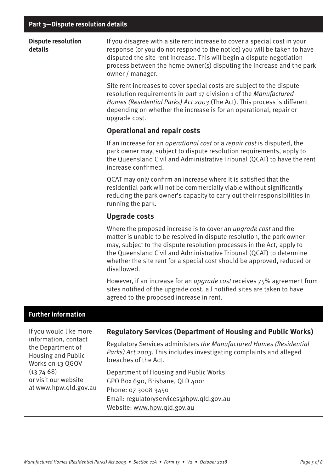| <b>Dispute resolution</b><br>details                                                                                                                                              | If you disagree with a site rent increase to cover a special cost in your<br>response (or you do not respond to the notice) you will be taken to have<br>disputed the site rent increase. This will begin a dispute negotiation<br>process between the home owner(s) disputing the increase and the park<br>owner / manager.<br>Site rent increases to cover special costs are subject to the dispute<br>resolution requirements in part 17 division 1 of the Manufactured<br>Homes (Residential Parks) Act 2003 (The Act). This process is different |
|-----------------------------------------------------------------------------------------------------------------------------------------------------------------------------------|-------------------------------------------------------------------------------------------------------------------------------------------------------------------------------------------------------------------------------------------------------------------------------------------------------------------------------------------------------------------------------------------------------------------------------------------------------------------------------------------------------------------------------------------------------|
|                                                                                                                                                                                   | depending on whether the increase is for an operational, repair or<br>upgrade cost.                                                                                                                                                                                                                                                                                                                                                                                                                                                                   |
|                                                                                                                                                                                   | <b>Operational and repair costs</b>                                                                                                                                                                                                                                                                                                                                                                                                                                                                                                                   |
|                                                                                                                                                                                   | If an increase for an operational cost or a repair cost is disputed, the<br>park owner may, subject to dispute resolution requirements, apply to<br>the Queensland Civil and Administrative Tribunal (QCAT) to have the rent<br>increase confirmed.                                                                                                                                                                                                                                                                                                   |
|                                                                                                                                                                                   | QCAT may only confirm an increase where it is satisfied that the<br>residential park will not be commercially viable without significantly<br>reducing the park owner's capacity to carry out their responsibilities in<br>running the park.                                                                                                                                                                                                                                                                                                          |
|                                                                                                                                                                                   | <b>Upgrade costs</b>                                                                                                                                                                                                                                                                                                                                                                                                                                                                                                                                  |
|                                                                                                                                                                                   | Where the proposed increase is to cover an <i>upgrade cost</i> and the<br>matter is unable to be resolved in dispute resolution, the park owner<br>may, subject to the dispute resolution processes in the Act, apply to<br>the Queensland Civil and Administrative Tribunal (QCAT) to determine<br>whether the site rent for a special cost should be approved, reduced or<br>disallowed.                                                                                                                                                            |
|                                                                                                                                                                                   | However, if an increase for an <i>upgrade cost</i> receives 75% agreement from<br>sites notified of the upgrade cost, all notified sites are taken to have<br>agreed to the proposed increase in rent.                                                                                                                                                                                                                                                                                                                                                |
| <b>Further information</b>                                                                                                                                                        |                                                                                                                                                                                                                                                                                                                                                                                                                                                                                                                                                       |
| If you would like more<br>information, contact<br>the Department of<br><b>Housing and Public</b><br>Works on 13 QGOV<br>(137468)<br>or visit our website<br>at www.hpw.qld.gov.au | <b>Regulatory Services (Department of Housing and Public Works)</b>                                                                                                                                                                                                                                                                                                                                                                                                                                                                                   |
|                                                                                                                                                                                   | Regulatory Services administers the Manufactured Homes (Residential<br>Parks) Act 2003. This includes investigating complaints and alleged<br>breaches of the Act.                                                                                                                                                                                                                                                                                                                                                                                    |
|                                                                                                                                                                                   | Department of Housing and Public Works<br>GPO Box 690, Brisbane, QLD 4001<br>Phone: 07 3008 3450<br>Email: regulatoryservices@hpw.qld.gov.au<br>Website: www.hpw.gld.gov.au                                                                                                                                                                                                                                                                                                                                                                           |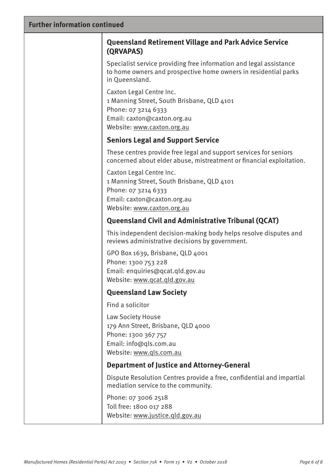| <b>Further information continued</b> |                                                                                                                                                                                                   |  |
|--------------------------------------|---------------------------------------------------------------------------------------------------------------------------------------------------------------------------------------------------|--|
|                                      | <b>Queensland Retirement Village and Park Advice Service</b><br>(QRVAPAS)                                                                                                                         |  |
|                                      | Specialist service providing free information and legal assistance<br>to home owners and prospective home owners in residential parks<br>in Queensland.                                           |  |
|                                      | Caxton Legal Centre Inc.<br>1 Manning Street, South Brisbane, QLD 4101<br>Phone: 07 3214 6333<br>Email: caxton@caxton.org.au<br>Website: www.caxton.org.au                                        |  |
|                                      | <b>Seniors Legal and Support Service</b>                                                                                                                                                          |  |
|                                      | These centres provide free legal and support services for seniors<br>concerned about elder abuse, mistreatment or financial exploitation.                                                         |  |
|                                      | Caxton Legal Centre Inc.<br>1 Manning Street, South Brisbane, QLD 4101<br>Phone: 07 3214 6333<br>Email: caxton@caxton.org.au<br>Website: www.caxton.org.au                                        |  |
|                                      | <b>Queensland Civil and Administrative Tribunal (QCAT)</b>                                                                                                                                        |  |
|                                      | This independent decision-making body helps resolve disputes and<br>reviews administrative decisions by government.                                                                               |  |
|                                      | GPO Box 1639, Brisbane, QLD 4001<br>Phone: 1300 753 228<br>Email: enquiries@qcat.qld.gov.au<br>Website: www.qcat.qld.gov.au                                                                       |  |
|                                      | <b>Queensland Law Society</b>                                                                                                                                                                     |  |
|                                      | Find a solicitor                                                                                                                                                                                  |  |
|                                      | Law Society House<br>179 Ann Street, Brisbane, QLD 4000<br>Phone: 1300 367 757<br>Email: info@qls.com.au<br>Website: www.qls.com.au                                                               |  |
|                                      | <b>Department of Justice and Attorney-General</b>                                                                                                                                                 |  |
|                                      | Dispute Resolution Centres provide a free, confidential and impartial<br>mediation service to the community.<br>Phone: 07 3006 2518<br>Toll free: 1800 017 288<br>Website: www.justice.qld.gov.au |  |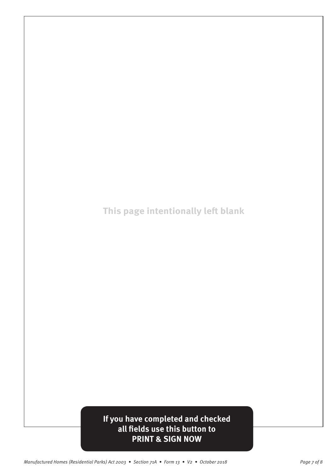**This page intentionally left blank** 

# **If you have completed and checked all fields use this button to PRINT & SIGN NOW**